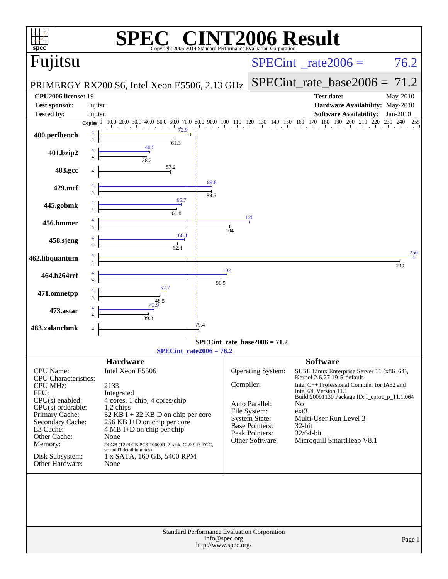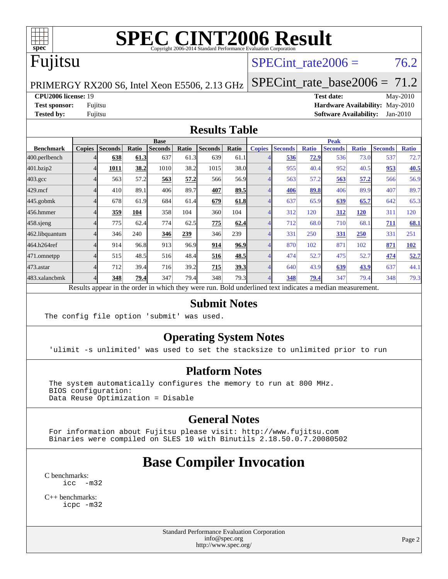

# Fujitsu

### SPECint rate $2006 = 76.2$

PRIMERGY RX200 S6, Intel Xeon E5506, 2.13 GHz [SPECint\\_rate\\_base2006 =](http://www.spec.org/auto/cpu2006/Docs/result-fields.html#SPECintratebase2006) 71.2

**[CPU2006 license:](http://www.spec.org/auto/cpu2006/Docs/result-fields.html#CPU2006license)** 19 **[Test date:](http://www.spec.org/auto/cpu2006/Docs/result-fields.html#Testdate)** May-2010 **[Test sponsor:](http://www.spec.org/auto/cpu2006/Docs/result-fields.html#Testsponsor)** Fujitsu **[Hardware Availability:](http://www.spec.org/auto/cpu2006/Docs/result-fields.html#HardwareAvailability)** May-2010 **[Tested by:](http://www.spec.org/auto/cpu2006/Docs/result-fields.html#Testedby)** Fujitsu **[Software Availability:](http://www.spec.org/auto/cpu2006/Docs/result-fields.html#SoftwareAvailability)** Jan-2010

#### **[Results Table](http://www.spec.org/auto/cpu2006/Docs/result-fields.html#ResultsTable)**

|                    | <b>Base</b>   |                |       |                |       |                |             | <b>Peak</b>   |                |              |                |              |                |              |
|--------------------|---------------|----------------|-------|----------------|-------|----------------|-------------|---------------|----------------|--------------|----------------|--------------|----------------|--------------|
| <b>Benchmark</b>   | <b>Copies</b> | <b>Seconds</b> | Ratio | <b>Seconds</b> | Ratio | <b>Seconds</b> | Ratio       | <b>Copies</b> | <b>Seconds</b> | <b>Ratio</b> | <b>Seconds</b> | <b>Ratio</b> | <b>Seconds</b> | <b>Ratio</b> |
| 400.perlbench      |               | 638            | 61.3  | 637            | 61.3  | 639            | 61.1        |               | 536            | 72.9         | 536            | 73.0         | 537            | 72.7         |
| 401.bzip2          |               | 1011           | 38.2  | 1010           | 38.2  | 1015           | 38.0        |               | 955            | 40.4         | 952            | 40.5         | 953            | 40.5         |
| $403.\mathrm{gcc}$ |               | 563            | 57.2  | 563            | 57.2  | 566            | 56.9        |               | 563            | 57.2         | 563            | 57.2         | 566            | 56.9         |
| $429$ .mcf         |               | 410            | 89.1  | 406            | 89.7  | 407            | 89.5        |               | 406            | 89.8         | 406            | 89.9         | 407            | 89.7         |
| $445$ .gobmk       |               | 678            | 61.9  | 684            | 61.4  | 679            | 61.8        |               | 637            | 65.9         | 639            | 65.7         | 642            | 65.3         |
| 456.hmmer          |               | 359            | 104   | 358            | 104   | 360            | 104         |               | 312            | 120          | 312            | 120          | 311            | 120          |
| $458$ .sjeng       |               | 775            | 62.4  | 774            | 62.5  | 775            | 62.4        |               | 712            | 68.0         | 710            | 68.1         | 711            | 68.1         |
| 462.libquantum     |               | 346            | 240   | 346            | 239   | 346            | 239         |               | 331            | 250          | 331            | 250          | 331            | 251          |
| 464.h264ref        |               | 914            | 96.8  | 913            | 96.9  | 914            | 96.9        |               | 870            | 102          | 871            | 102          | 871            | 102          |
| 471.omnetpp        |               | 515            | 48.5  | 516            | 48.4  | 516            | 48.5        |               | 474            | 52.7         | 475            | 52.7         | 474            | 52.7         |
| 473.astar          |               | 712            | 39.4  | 716            | 39.2  | 715            | <u>39.3</u> |               | 640            | 43.9         | 639            | 43.9         | 637            | 44.1         |
| 483.xalancbmk      |               | 348            | 79.4  | 347            | 79.4  | 348            | 79.3        |               | 348            | 79.4         | 347            | 79.4         | 348            | 79.3         |

Results appear in the [order in which they were run.](http://www.spec.org/auto/cpu2006/Docs/result-fields.html#RunOrder) Bold underlined text [indicates a median measurement.](http://www.spec.org/auto/cpu2006/Docs/result-fields.html#Median)

#### **[Submit Notes](http://www.spec.org/auto/cpu2006/Docs/result-fields.html#SubmitNotes)**

The config file option 'submit' was used.

### **[Operating System Notes](http://www.spec.org/auto/cpu2006/Docs/result-fields.html#OperatingSystemNotes)**

'ulimit -s unlimited' was used to set the stacksize to unlimited prior to run

### **[Platform Notes](http://www.spec.org/auto/cpu2006/Docs/result-fields.html#PlatformNotes)**

The system automatically configures the memory to run at 800 MHz. BIOS configuration: Data Reuse Optimization = Disable

### **[General Notes](http://www.spec.org/auto/cpu2006/Docs/result-fields.html#GeneralNotes)**

 For information about Fujitsu please visit: <http://www.fujitsu.com> Binaries were compiled on SLES 10 with Binutils 2.18.50.0.7.20080502

# **[Base Compiler Invocation](http://www.spec.org/auto/cpu2006/Docs/result-fields.html#BaseCompilerInvocation)**

[C benchmarks](http://www.spec.org/auto/cpu2006/Docs/result-fields.html#Cbenchmarks): [icc -m32](http://www.spec.org/cpu2006/results/res2010q3/cpu2006-20100706-12333.flags.html#user_CCbase_intel_icc_32bit_5ff4a39e364c98233615fdd38438c6f2)

[C++ benchmarks:](http://www.spec.org/auto/cpu2006/Docs/result-fields.html#CXXbenchmarks) [icpc -m32](http://www.spec.org/cpu2006/results/res2010q3/cpu2006-20100706-12333.flags.html#user_CXXbase_intel_icpc_32bit_4e5a5ef1a53fd332b3c49e69c3330699)

> Standard Performance Evaluation Corporation [info@spec.org](mailto:info@spec.org) <http://www.spec.org/>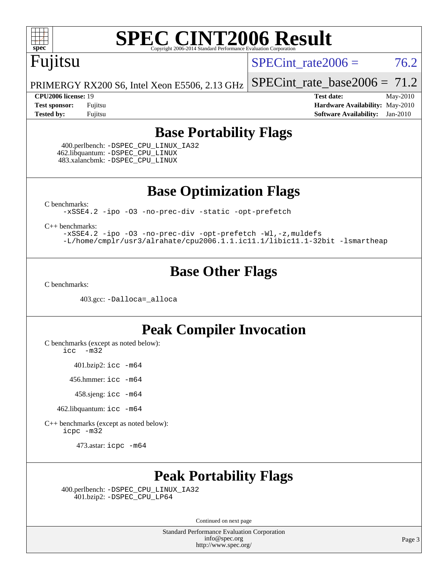

# Fujitsu

SPECint rate $2006 = 76.2$ 

[SPECint\\_rate\\_base2006 =](http://www.spec.org/auto/cpu2006/Docs/result-fields.html#SPECintratebase2006) 71.2

PRIMERGY RX200 S6, Intel Xeon E5506, 2.13 GHz

**[CPU2006 license:](http://www.spec.org/auto/cpu2006/Docs/result-fields.html#CPU2006license)** 19 **[Test date:](http://www.spec.org/auto/cpu2006/Docs/result-fields.html#Testdate)** May-2010 **[Test sponsor:](http://www.spec.org/auto/cpu2006/Docs/result-fields.html#Testsponsor)** Fujitsu **[Hardware Availability:](http://www.spec.org/auto/cpu2006/Docs/result-fields.html#HardwareAvailability)** May-2010 **[Tested by:](http://www.spec.org/auto/cpu2006/Docs/result-fields.html#Testedby)** Fujitsu **[Software Availability:](http://www.spec.org/auto/cpu2006/Docs/result-fields.html#SoftwareAvailability)** Jan-2010

### **[Base Portability Flags](http://www.spec.org/auto/cpu2006/Docs/result-fields.html#BasePortabilityFlags)**

 400.perlbench: [-DSPEC\\_CPU\\_LINUX\\_IA32](http://www.spec.org/cpu2006/results/res2010q3/cpu2006-20100706-12333.flags.html#b400.perlbench_baseCPORTABILITY_DSPEC_CPU_LINUX_IA32) 462.libquantum: [-DSPEC\\_CPU\\_LINUX](http://www.spec.org/cpu2006/results/res2010q3/cpu2006-20100706-12333.flags.html#b462.libquantum_baseCPORTABILITY_DSPEC_CPU_LINUX) 483.xalancbmk: [-DSPEC\\_CPU\\_LINUX](http://www.spec.org/cpu2006/results/res2010q3/cpu2006-20100706-12333.flags.html#b483.xalancbmk_baseCXXPORTABILITY_DSPEC_CPU_LINUX)

**[Base Optimization Flags](http://www.spec.org/auto/cpu2006/Docs/result-fields.html#BaseOptimizationFlags)**

[C benchmarks](http://www.spec.org/auto/cpu2006/Docs/result-fields.html#Cbenchmarks):

[-xSSE4.2](http://www.spec.org/cpu2006/results/res2010q3/cpu2006-20100706-12333.flags.html#user_CCbase_f-xSSE42_f91528193cf0b216347adb8b939d4107) [-ipo](http://www.spec.org/cpu2006/results/res2010q3/cpu2006-20100706-12333.flags.html#user_CCbase_f-ipo) [-O3](http://www.spec.org/cpu2006/results/res2010q3/cpu2006-20100706-12333.flags.html#user_CCbase_f-O3) [-no-prec-div](http://www.spec.org/cpu2006/results/res2010q3/cpu2006-20100706-12333.flags.html#user_CCbase_f-no-prec-div) [-static](http://www.spec.org/cpu2006/results/res2010q3/cpu2006-20100706-12333.flags.html#user_CCbase_f-static) [-opt-prefetch](http://www.spec.org/cpu2006/results/res2010q3/cpu2006-20100706-12333.flags.html#user_CCbase_f-opt-prefetch)

[C++ benchmarks:](http://www.spec.org/auto/cpu2006/Docs/result-fields.html#CXXbenchmarks)

[-xSSE4.2](http://www.spec.org/cpu2006/results/res2010q3/cpu2006-20100706-12333.flags.html#user_CXXbase_f-xSSE42_f91528193cf0b216347adb8b939d4107) [-ipo](http://www.spec.org/cpu2006/results/res2010q3/cpu2006-20100706-12333.flags.html#user_CXXbase_f-ipo) [-O3](http://www.spec.org/cpu2006/results/res2010q3/cpu2006-20100706-12333.flags.html#user_CXXbase_f-O3) [-no-prec-div](http://www.spec.org/cpu2006/results/res2010q3/cpu2006-20100706-12333.flags.html#user_CXXbase_f-no-prec-div) [-opt-prefetch](http://www.spec.org/cpu2006/results/res2010q3/cpu2006-20100706-12333.flags.html#user_CXXbase_f-opt-prefetch) [-Wl,-z,muldefs](http://www.spec.org/cpu2006/results/res2010q3/cpu2006-20100706-12333.flags.html#user_CXXbase_link_force_multiple1_74079c344b956b9658436fd1b6dd3a8a) [-L/home/cmplr/usr3/alrahate/cpu2006.1.1.ic11.1/libic11.1-32bit -lsmartheap](http://www.spec.org/cpu2006/results/res2010q3/cpu2006-20100706-12333.flags.html#user_CXXbase_SmartHeap_d86dffe4a79b79ef8890d5cce17030c3)

## **[Base Other Flags](http://www.spec.org/auto/cpu2006/Docs/result-fields.html#BaseOtherFlags)**

[C benchmarks](http://www.spec.org/auto/cpu2006/Docs/result-fields.html#Cbenchmarks):

403.gcc: [-Dalloca=\\_alloca](http://www.spec.org/cpu2006/results/res2010q3/cpu2006-20100706-12333.flags.html#b403.gcc_baseEXTRA_CFLAGS_Dalloca_be3056838c12de2578596ca5467af7f3)

## **[Peak Compiler Invocation](http://www.spec.org/auto/cpu2006/Docs/result-fields.html#PeakCompilerInvocation)**

[C benchmarks \(except as noted below\)](http://www.spec.org/auto/cpu2006/Docs/result-fields.html#Cbenchmarksexceptasnotedbelow):

[icc -m32](http://www.spec.org/cpu2006/results/res2010q3/cpu2006-20100706-12333.flags.html#user_CCpeak_intel_icc_32bit_5ff4a39e364c98233615fdd38438c6f2)

401.bzip2: [icc -m64](http://www.spec.org/cpu2006/results/res2010q3/cpu2006-20100706-12333.flags.html#user_peakCCLD401_bzip2_intel_icc_64bit_bda6cc9af1fdbb0edc3795bac97ada53)

456.hmmer: [icc -m64](http://www.spec.org/cpu2006/results/res2010q3/cpu2006-20100706-12333.flags.html#user_peakCCLD456_hmmer_intel_icc_64bit_bda6cc9af1fdbb0edc3795bac97ada53)

458.sjeng: [icc -m64](http://www.spec.org/cpu2006/results/res2010q3/cpu2006-20100706-12333.flags.html#user_peakCCLD458_sjeng_intel_icc_64bit_bda6cc9af1fdbb0edc3795bac97ada53)

462.libquantum: [icc -m64](http://www.spec.org/cpu2006/results/res2010q3/cpu2006-20100706-12333.flags.html#user_peakCCLD462_libquantum_intel_icc_64bit_bda6cc9af1fdbb0edc3795bac97ada53)

[C++ benchmarks \(except as noted below\):](http://www.spec.org/auto/cpu2006/Docs/result-fields.html#CXXbenchmarksexceptasnotedbelow) [icpc -m32](http://www.spec.org/cpu2006/results/res2010q3/cpu2006-20100706-12333.flags.html#user_CXXpeak_intel_icpc_32bit_4e5a5ef1a53fd332b3c49e69c3330699)

473.astar: [icpc -m64](http://www.spec.org/cpu2006/results/res2010q3/cpu2006-20100706-12333.flags.html#user_peakCXXLD473_astar_intel_icpc_64bit_fc66a5337ce925472a5c54ad6a0de310)

## **[Peak Portability Flags](http://www.spec.org/auto/cpu2006/Docs/result-fields.html#PeakPortabilityFlags)**

 400.perlbench: [-DSPEC\\_CPU\\_LINUX\\_IA32](http://www.spec.org/cpu2006/results/res2010q3/cpu2006-20100706-12333.flags.html#b400.perlbench_peakCPORTABILITY_DSPEC_CPU_LINUX_IA32) 401.bzip2: [-DSPEC\\_CPU\\_LP64](http://www.spec.org/cpu2006/results/res2010q3/cpu2006-20100706-12333.flags.html#suite_peakCPORTABILITY401_bzip2_DSPEC_CPU_LP64)

Continued on next page

Standard Performance Evaluation Corporation [info@spec.org](mailto:info@spec.org) <http://www.spec.org/>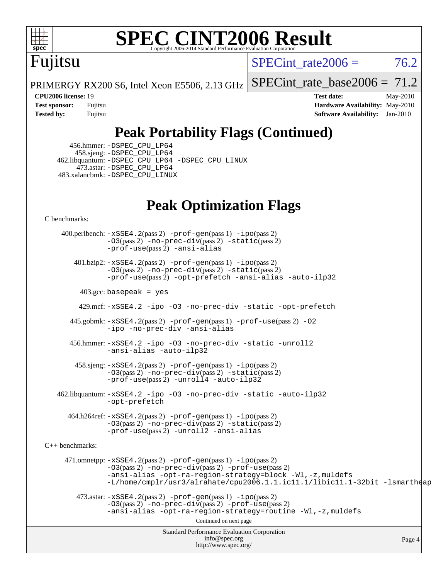

# Fujitsu

SPECint rate  $2006 = 76.2$ 

PRIMERGY RX200 S6, Intel Xeon E5506, 2.13 GHz

[SPECint\\_rate\\_base2006 =](http://www.spec.org/auto/cpu2006/Docs/result-fields.html#SPECintratebase2006) 71.2

**[CPU2006 license:](http://www.spec.org/auto/cpu2006/Docs/result-fields.html#CPU2006license)** 19 **[Test date:](http://www.spec.org/auto/cpu2006/Docs/result-fields.html#Testdate)** May-2010 **[Test sponsor:](http://www.spec.org/auto/cpu2006/Docs/result-fields.html#Testsponsor)** Fujitsu **[Hardware Availability:](http://www.spec.org/auto/cpu2006/Docs/result-fields.html#HardwareAvailability)** May-2010 **[Tested by:](http://www.spec.org/auto/cpu2006/Docs/result-fields.html#Testedby)** Fujitsu **[Software Availability:](http://www.spec.org/auto/cpu2006/Docs/result-fields.html#SoftwareAvailability)** Jan-2010

# **[Peak Portability Flags \(Continued\)](http://www.spec.org/auto/cpu2006/Docs/result-fields.html#PeakPortabilityFlags)**

 456.hmmer: [-DSPEC\\_CPU\\_LP64](http://www.spec.org/cpu2006/results/res2010q3/cpu2006-20100706-12333.flags.html#suite_peakCPORTABILITY456_hmmer_DSPEC_CPU_LP64) 458.sjeng: [-DSPEC\\_CPU\\_LP64](http://www.spec.org/cpu2006/results/res2010q3/cpu2006-20100706-12333.flags.html#suite_peakCPORTABILITY458_sjeng_DSPEC_CPU_LP64) 462.libquantum: [-DSPEC\\_CPU\\_LP64](http://www.spec.org/cpu2006/results/res2010q3/cpu2006-20100706-12333.flags.html#suite_peakCPORTABILITY462_libquantum_DSPEC_CPU_LP64) [-DSPEC\\_CPU\\_LINUX](http://www.spec.org/cpu2006/results/res2010q3/cpu2006-20100706-12333.flags.html#b462.libquantum_peakCPORTABILITY_DSPEC_CPU_LINUX) 473.astar: [-DSPEC\\_CPU\\_LP64](http://www.spec.org/cpu2006/results/res2010q3/cpu2006-20100706-12333.flags.html#suite_peakCXXPORTABILITY473_astar_DSPEC_CPU_LP64) 483.xalancbmk: [-DSPEC\\_CPU\\_LINUX](http://www.spec.org/cpu2006/results/res2010q3/cpu2006-20100706-12333.flags.html#b483.xalancbmk_peakCXXPORTABILITY_DSPEC_CPU_LINUX)

# **[Peak Optimization Flags](http://www.spec.org/auto/cpu2006/Docs/result-fields.html#PeakOptimizationFlags)**

[C benchmarks](http://www.spec.org/auto/cpu2006/Docs/result-fields.html#Cbenchmarks):

Standard Performance Evaluation Corporation [info@spec.org](mailto:info@spec.org) <http://www.spec.org/> Page 4 400.perlbench: [-xSSE4.2](http://www.spec.org/cpu2006/results/res2010q3/cpu2006-20100706-12333.flags.html#user_peakPASS2_CFLAGSPASS2_LDCFLAGS400_perlbench_f-xSSE42_f91528193cf0b216347adb8b939d4107)(pass 2) [-prof-gen](http://www.spec.org/cpu2006/results/res2010q3/cpu2006-20100706-12333.flags.html#user_peakPASS1_CFLAGSPASS1_LDCFLAGS400_perlbench_prof_gen_e43856698f6ca7b7e442dfd80e94a8fc)(pass 1) [-ipo](http://www.spec.org/cpu2006/results/res2010q3/cpu2006-20100706-12333.flags.html#user_peakPASS2_CFLAGSPASS2_LDCFLAGS400_perlbench_f-ipo)(pass 2)  $-03$ (pass 2)  $-$ no-prec-div(pass 2)  $-$ static(pass 2) [-prof-use](http://www.spec.org/cpu2006/results/res2010q3/cpu2006-20100706-12333.flags.html#user_peakPASS2_CFLAGSPASS2_LDCFLAGS400_perlbench_prof_use_bccf7792157ff70d64e32fe3e1250b55)(pass 2) [-ansi-alias](http://www.spec.org/cpu2006/results/res2010q3/cpu2006-20100706-12333.flags.html#user_peakCOPTIMIZE400_perlbench_f-ansi-alias) 401.bzip2: [-xSSE4.2](http://www.spec.org/cpu2006/results/res2010q3/cpu2006-20100706-12333.flags.html#user_peakPASS2_CFLAGSPASS2_LDCFLAGS401_bzip2_f-xSSE42_f91528193cf0b216347adb8b939d4107)(pass 2) [-prof-gen](http://www.spec.org/cpu2006/results/res2010q3/cpu2006-20100706-12333.flags.html#user_peakPASS1_CFLAGSPASS1_LDCFLAGS401_bzip2_prof_gen_e43856698f6ca7b7e442dfd80e94a8fc)(pass 1) [-ipo](http://www.spec.org/cpu2006/results/res2010q3/cpu2006-20100706-12333.flags.html#user_peakPASS2_CFLAGSPASS2_LDCFLAGS401_bzip2_f-ipo)(pass 2) [-O3](http://www.spec.org/cpu2006/results/res2010q3/cpu2006-20100706-12333.flags.html#user_peakPASS2_CFLAGSPASS2_LDCFLAGS401_bzip2_f-O3)(pass 2) [-no-prec-div](http://www.spec.org/cpu2006/results/res2010q3/cpu2006-20100706-12333.flags.html#user_peakPASS2_CFLAGSPASS2_LDCFLAGS401_bzip2_f-no-prec-div)(pass 2) [-static](http://www.spec.org/cpu2006/results/res2010q3/cpu2006-20100706-12333.flags.html#user_peakPASS2_CFLAGSPASS2_LDCFLAGS401_bzip2_f-static)(pass 2) [-prof-use](http://www.spec.org/cpu2006/results/res2010q3/cpu2006-20100706-12333.flags.html#user_peakPASS2_CFLAGSPASS2_LDCFLAGS401_bzip2_prof_use_bccf7792157ff70d64e32fe3e1250b55)(pass 2) [-opt-prefetch](http://www.spec.org/cpu2006/results/res2010q3/cpu2006-20100706-12333.flags.html#user_peakCOPTIMIZE401_bzip2_f-opt-prefetch) [-ansi-alias](http://www.spec.org/cpu2006/results/res2010q3/cpu2006-20100706-12333.flags.html#user_peakCOPTIMIZE401_bzip2_f-ansi-alias) [-auto-ilp32](http://www.spec.org/cpu2006/results/res2010q3/cpu2006-20100706-12333.flags.html#user_peakCOPTIMIZE401_bzip2_f-auto-ilp32)  $403.\text{gcc: basepeak}$  = yes 429.mcf: [-xSSE4.2](http://www.spec.org/cpu2006/results/res2010q3/cpu2006-20100706-12333.flags.html#user_peakCOPTIMIZE429_mcf_f-xSSE42_f91528193cf0b216347adb8b939d4107) [-ipo](http://www.spec.org/cpu2006/results/res2010q3/cpu2006-20100706-12333.flags.html#user_peakCOPTIMIZE429_mcf_f-ipo) [-O3](http://www.spec.org/cpu2006/results/res2010q3/cpu2006-20100706-12333.flags.html#user_peakCOPTIMIZE429_mcf_f-O3) [-no-prec-div](http://www.spec.org/cpu2006/results/res2010q3/cpu2006-20100706-12333.flags.html#user_peakCOPTIMIZE429_mcf_f-no-prec-div) [-static](http://www.spec.org/cpu2006/results/res2010q3/cpu2006-20100706-12333.flags.html#user_peakCOPTIMIZE429_mcf_f-static) [-opt-prefetch](http://www.spec.org/cpu2006/results/res2010q3/cpu2006-20100706-12333.flags.html#user_peakCOPTIMIZE429_mcf_f-opt-prefetch) 445.gobmk: [-xSSE4.2](http://www.spec.org/cpu2006/results/res2010q3/cpu2006-20100706-12333.flags.html#user_peakPASS2_CFLAGSPASS2_LDCFLAGS445_gobmk_f-xSSE42_f91528193cf0b216347adb8b939d4107)(pass 2) [-prof-gen](http://www.spec.org/cpu2006/results/res2010q3/cpu2006-20100706-12333.flags.html#user_peakPASS1_CFLAGSPASS1_LDCFLAGS445_gobmk_prof_gen_e43856698f6ca7b7e442dfd80e94a8fc)(pass 1) [-prof-use](http://www.spec.org/cpu2006/results/res2010q3/cpu2006-20100706-12333.flags.html#user_peakPASS2_CFLAGSPASS2_LDCFLAGS445_gobmk_prof_use_bccf7792157ff70d64e32fe3e1250b55)(pass 2) [-O2](http://www.spec.org/cpu2006/results/res2010q3/cpu2006-20100706-12333.flags.html#user_peakCOPTIMIZE445_gobmk_f-O2) [-ipo](http://www.spec.org/cpu2006/results/res2010q3/cpu2006-20100706-12333.flags.html#user_peakCOPTIMIZE445_gobmk_f-ipo) [-no-prec-div](http://www.spec.org/cpu2006/results/res2010q3/cpu2006-20100706-12333.flags.html#user_peakCOPTIMIZE445_gobmk_f-no-prec-div) [-ansi-alias](http://www.spec.org/cpu2006/results/res2010q3/cpu2006-20100706-12333.flags.html#user_peakCOPTIMIZE445_gobmk_f-ansi-alias) 456.hmmer: [-xSSE4.2](http://www.spec.org/cpu2006/results/res2010q3/cpu2006-20100706-12333.flags.html#user_peakCOPTIMIZE456_hmmer_f-xSSE42_f91528193cf0b216347adb8b939d4107) [-ipo](http://www.spec.org/cpu2006/results/res2010q3/cpu2006-20100706-12333.flags.html#user_peakCOPTIMIZE456_hmmer_f-ipo) [-O3](http://www.spec.org/cpu2006/results/res2010q3/cpu2006-20100706-12333.flags.html#user_peakCOPTIMIZE456_hmmer_f-O3) [-no-prec-div](http://www.spec.org/cpu2006/results/res2010q3/cpu2006-20100706-12333.flags.html#user_peakCOPTIMIZE456_hmmer_f-no-prec-div) [-static](http://www.spec.org/cpu2006/results/res2010q3/cpu2006-20100706-12333.flags.html#user_peakCOPTIMIZE456_hmmer_f-static) [-unroll2](http://www.spec.org/cpu2006/results/res2010q3/cpu2006-20100706-12333.flags.html#user_peakCOPTIMIZE456_hmmer_f-unroll_784dae83bebfb236979b41d2422d7ec2) [-ansi-alias](http://www.spec.org/cpu2006/results/res2010q3/cpu2006-20100706-12333.flags.html#user_peakCOPTIMIZE456_hmmer_f-ansi-alias) [-auto-ilp32](http://www.spec.org/cpu2006/results/res2010q3/cpu2006-20100706-12333.flags.html#user_peakCOPTIMIZE456_hmmer_f-auto-ilp32) 458.sjeng: [-xSSE4.2](http://www.spec.org/cpu2006/results/res2010q3/cpu2006-20100706-12333.flags.html#user_peakPASS2_CFLAGSPASS2_LDCFLAGS458_sjeng_f-xSSE42_f91528193cf0b216347adb8b939d4107)(pass 2) [-prof-gen](http://www.spec.org/cpu2006/results/res2010q3/cpu2006-20100706-12333.flags.html#user_peakPASS1_CFLAGSPASS1_LDCFLAGS458_sjeng_prof_gen_e43856698f6ca7b7e442dfd80e94a8fc)(pass 1) [-ipo](http://www.spec.org/cpu2006/results/res2010q3/cpu2006-20100706-12333.flags.html#user_peakPASS2_CFLAGSPASS2_LDCFLAGS458_sjeng_f-ipo)(pass 2) [-O3](http://www.spec.org/cpu2006/results/res2010q3/cpu2006-20100706-12333.flags.html#user_peakPASS2_CFLAGSPASS2_LDCFLAGS458_sjeng_f-O3)(pass 2) [-no-prec-div](http://www.spec.org/cpu2006/results/res2010q3/cpu2006-20100706-12333.flags.html#user_peakPASS2_CFLAGSPASS2_LDCFLAGS458_sjeng_f-no-prec-div)(pass 2) [-static](http://www.spec.org/cpu2006/results/res2010q3/cpu2006-20100706-12333.flags.html#user_peakPASS2_CFLAGSPASS2_LDCFLAGS458_sjeng_f-static)(pass 2) [-prof-use](http://www.spec.org/cpu2006/results/res2010q3/cpu2006-20100706-12333.flags.html#user_peakPASS2_CFLAGSPASS2_LDCFLAGS458_sjeng_prof_use_bccf7792157ff70d64e32fe3e1250b55)(pass 2) [-unroll4](http://www.spec.org/cpu2006/results/res2010q3/cpu2006-20100706-12333.flags.html#user_peakCOPTIMIZE458_sjeng_f-unroll_4e5e4ed65b7fd20bdcd365bec371b81f) [-auto-ilp32](http://www.spec.org/cpu2006/results/res2010q3/cpu2006-20100706-12333.flags.html#user_peakCOPTIMIZE458_sjeng_f-auto-ilp32) 462.libquantum: [-xSSE4.2](http://www.spec.org/cpu2006/results/res2010q3/cpu2006-20100706-12333.flags.html#user_peakCOPTIMIZE462_libquantum_f-xSSE42_f91528193cf0b216347adb8b939d4107) [-ipo](http://www.spec.org/cpu2006/results/res2010q3/cpu2006-20100706-12333.flags.html#user_peakCOPTIMIZE462_libquantum_f-ipo) [-O3](http://www.spec.org/cpu2006/results/res2010q3/cpu2006-20100706-12333.flags.html#user_peakCOPTIMIZE462_libquantum_f-O3) [-no-prec-div](http://www.spec.org/cpu2006/results/res2010q3/cpu2006-20100706-12333.flags.html#user_peakCOPTIMIZE462_libquantum_f-no-prec-div) [-static](http://www.spec.org/cpu2006/results/res2010q3/cpu2006-20100706-12333.flags.html#user_peakCOPTIMIZE462_libquantum_f-static) [-auto-ilp32](http://www.spec.org/cpu2006/results/res2010q3/cpu2006-20100706-12333.flags.html#user_peakCOPTIMIZE462_libquantum_f-auto-ilp32) [-opt-prefetch](http://www.spec.org/cpu2006/results/res2010q3/cpu2006-20100706-12333.flags.html#user_peakCOPTIMIZE462_libquantum_f-opt-prefetch) 464.h264ref: [-xSSE4.2](http://www.spec.org/cpu2006/results/res2010q3/cpu2006-20100706-12333.flags.html#user_peakPASS2_CFLAGSPASS2_LDCFLAGS464_h264ref_f-xSSE42_f91528193cf0b216347adb8b939d4107)(pass 2) [-prof-gen](http://www.spec.org/cpu2006/results/res2010q3/cpu2006-20100706-12333.flags.html#user_peakPASS1_CFLAGSPASS1_LDCFLAGS464_h264ref_prof_gen_e43856698f6ca7b7e442dfd80e94a8fc)(pass 1) [-ipo](http://www.spec.org/cpu2006/results/res2010q3/cpu2006-20100706-12333.flags.html#user_peakPASS2_CFLAGSPASS2_LDCFLAGS464_h264ref_f-ipo)(pass 2) [-O3](http://www.spec.org/cpu2006/results/res2010q3/cpu2006-20100706-12333.flags.html#user_peakPASS2_CFLAGSPASS2_LDCFLAGS464_h264ref_f-O3)(pass 2) [-no-prec-div](http://www.spec.org/cpu2006/results/res2010q3/cpu2006-20100706-12333.flags.html#user_peakPASS2_CFLAGSPASS2_LDCFLAGS464_h264ref_f-no-prec-div)(pass 2) [-static](http://www.spec.org/cpu2006/results/res2010q3/cpu2006-20100706-12333.flags.html#user_peakPASS2_CFLAGSPASS2_LDCFLAGS464_h264ref_f-static)(pass 2) [-prof-use](http://www.spec.org/cpu2006/results/res2010q3/cpu2006-20100706-12333.flags.html#user_peakPASS2_CFLAGSPASS2_LDCFLAGS464_h264ref_prof_use_bccf7792157ff70d64e32fe3e1250b55)(pass 2) [-unroll2](http://www.spec.org/cpu2006/results/res2010q3/cpu2006-20100706-12333.flags.html#user_peakCOPTIMIZE464_h264ref_f-unroll_784dae83bebfb236979b41d2422d7ec2) [-ansi-alias](http://www.spec.org/cpu2006/results/res2010q3/cpu2006-20100706-12333.flags.html#user_peakCOPTIMIZE464_h264ref_f-ansi-alias) [C++ benchmarks:](http://www.spec.org/auto/cpu2006/Docs/result-fields.html#CXXbenchmarks) 471.omnetpp: [-xSSE4.2](http://www.spec.org/cpu2006/results/res2010q3/cpu2006-20100706-12333.flags.html#user_peakPASS2_CXXFLAGSPASS2_LDCXXFLAGS471_omnetpp_f-xSSE42_f91528193cf0b216347adb8b939d4107)(pass 2) [-prof-gen](http://www.spec.org/cpu2006/results/res2010q3/cpu2006-20100706-12333.flags.html#user_peakPASS1_CXXFLAGSPASS1_LDCXXFLAGS471_omnetpp_prof_gen_e43856698f6ca7b7e442dfd80e94a8fc)(pass 1) [-ipo](http://www.spec.org/cpu2006/results/res2010q3/cpu2006-20100706-12333.flags.html#user_peakPASS2_CXXFLAGSPASS2_LDCXXFLAGS471_omnetpp_f-ipo)(pass 2) [-O3](http://www.spec.org/cpu2006/results/res2010q3/cpu2006-20100706-12333.flags.html#user_peakPASS2_CXXFLAGSPASS2_LDCXXFLAGS471_omnetpp_f-O3)(pass 2) [-no-prec-div](http://www.spec.org/cpu2006/results/res2010q3/cpu2006-20100706-12333.flags.html#user_peakPASS2_CXXFLAGSPASS2_LDCXXFLAGS471_omnetpp_f-no-prec-div)(pass 2) [-prof-use](http://www.spec.org/cpu2006/results/res2010q3/cpu2006-20100706-12333.flags.html#user_peakPASS2_CXXFLAGSPASS2_LDCXXFLAGS471_omnetpp_prof_use_bccf7792157ff70d64e32fe3e1250b55)(pass 2) [-ansi-alias](http://www.spec.org/cpu2006/results/res2010q3/cpu2006-20100706-12333.flags.html#user_peakCXXOPTIMIZE471_omnetpp_f-ansi-alias) [-opt-ra-region-strategy=block](http://www.spec.org/cpu2006/results/res2010q3/cpu2006-20100706-12333.flags.html#user_peakCXXOPTIMIZE471_omnetpp_f-opt-ra-region-strategy-block_a0a37c372d03933b2a18d4af463c1f69) [-Wl,-z,muldefs](http://www.spec.org/cpu2006/results/res2010q3/cpu2006-20100706-12333.flags.html#user_peakEXTRA_LDFLAGS471_omnetpp_link_force_multiple1_74079c344b956b9658436fd1b6dd3a8a) [-L/home/cmplr/usr3/alrahate/cpu2006.1.1.ic11.1/libic11.1-32bit -lsmartheap](http://www.spec.org/cpu2006/results/res2010q3/cpu2006-20100706-12333.flags.html#user_peakEXTRA_LIBS471_omnetpp_SmartHeap_d86dffe4a79b79ef8890d5cce17030c3)  $473.\text{astar: } -xSSE4$ .  $2(\text{pass 2})$   $-\text{prof-gen}(\text{pass 1})$   $-i\text{po}(\text{pass 2})$ [-O3](http://www.spec.org/cpu2006/results/res2010q3/cpu2006-20100706-12333.flags.html#user_peakPASS2_CXXFLAGSPASS2_LDCXXFLAGS473_astar_f-O3)(pass 2) [-no-prec-div](http://www.spec.org/cpu2006/results/res2010q3/cpu2006-20100706-12333.flags.html#user_peakPASS2_CXXFLAGSPASS2_LDCXXFLAGS473_astar_f-no-prec-div)(pass 2) [-prof-use](http://www.spec.org/cpu2006/results/res2010q3/cpu2006-20100706-12333.flags.html#user_peakPASS2_CXXFLAGSPASS2_LDCXXFLAGS473_astar_prof_use_bccf7792157ff70d64e32fe3e1250b55)(pass 2) [-ansi-alias](http://www.spec.org/cpu2006/results/res2010q3/cpu2006-20100706-12333.flags.html#user_peakCXXOPTIMIZE473_astar_f-ansi-alias) [-opt-ra-region-strategy=routine](http://www.spec.org/cpu2006/results/res2010q3/cpu2006-20100706-12333.flags.html#user_peakCXXOPTIMIZE473_astar_f-opt-ra-region-strategy-routine_ba086ea3b1d46a52e1238e2ca173ed44) [-Wl,-z,muldefs](http://www.spec.org/cpu2006/results/res2010q3/cpu2006-20100706-12333.flags.html#user_peakEXTRA_LDFLAGS473_astar_link_force_multiple1_74079c344b956b9658436fd1b6dd3a8a) Continued on next page